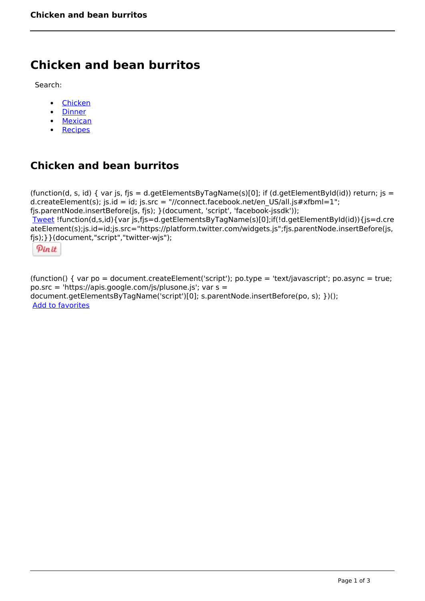# **Chicken and bean burritos**

Search:

- [Chicken](https://www.naturalhealthmag.com.au/nourish/chicken)
- [Dinner](https://www.naturalhealthmag.com.au/nourish/dinner-ideas)
- [Mexican](https://www.naturalhealthmag.com.au/nourish/mexican)
- [Recipes](https://www.naturalhealthmag.com.au/nourish/recipes)

## **Chicken and bean burritos**

(function(d, s, id) { var js, fjs = d.getElementsByTagName(s)[0]; if (d.getElementById(id)) return; js = d.createElement(s); js.id = id; js.src = "//connect.facebook.net/en\_US/all.js#xfbml=1"; fjs.parentNode.insertBefore(js, fjs); }(document, 'script', 'facebook-jssdk')); [Tweet](https://twitter.com/share) !function(d,s,id){var js,fjs=d.getElementsByTagName(s)[0];if(!d.getElementById(id)){js=d.cre ateElement(s);js.id=id;js.src="https://platform.twitter.com/widgets.js";fjs.parentNode.insertBefore(js, fjs);}}(document,"script","twitter-wjs");

Pinit

(function() { var po = document.createElement('script'); po.type = 'text/javascript'; po.async = true; po.src = 'https://apis.google.com/js/plusone.js'; var s = document.getElementsByTagName('script')[0]; s.parentNode.insertBefore(po, s); })(); Add to favorites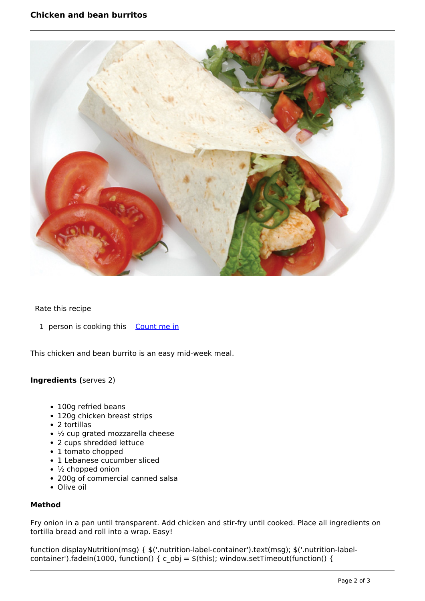

### Rate this recipe

1 person is cooking this [Count me in](https://www.naturalhealthmag.com.au/flag/flag/favorites/454?destination=printpdf%2F454&token=2251b0ca346f4814671e9c7fb3a3f431)

This chicken and bean burrito is an easy mid-week meal.

#### **Ingredients (**serves 2)

- 100g refried beans
- 120g chicken breast strips
- 2 tortillas
- 1/2 cup grated mozzarella cheese
- 2 cups shredded lettuce
- 1 tomato chopped
- 1 Lebanese cucumber sliced
- $\cdot$   $\frac{1}{2}$  chopped onion
- 200g of commercial canned salsa
- Olive oil

#### **Method**

Fry onion in a pan until transparent. Add chicken and stir-fry until cooked. Place all ingredients on tortilla bread and roll into a wrap. Easy!

function displayNutrition(msg) { \$('.nutrition-label-container').text(msg); \$('.nutrition-labelcontainer').fadeIn(1000, function() { c\_obj =  $$(this)$$ ; window.setTimeout(function() {